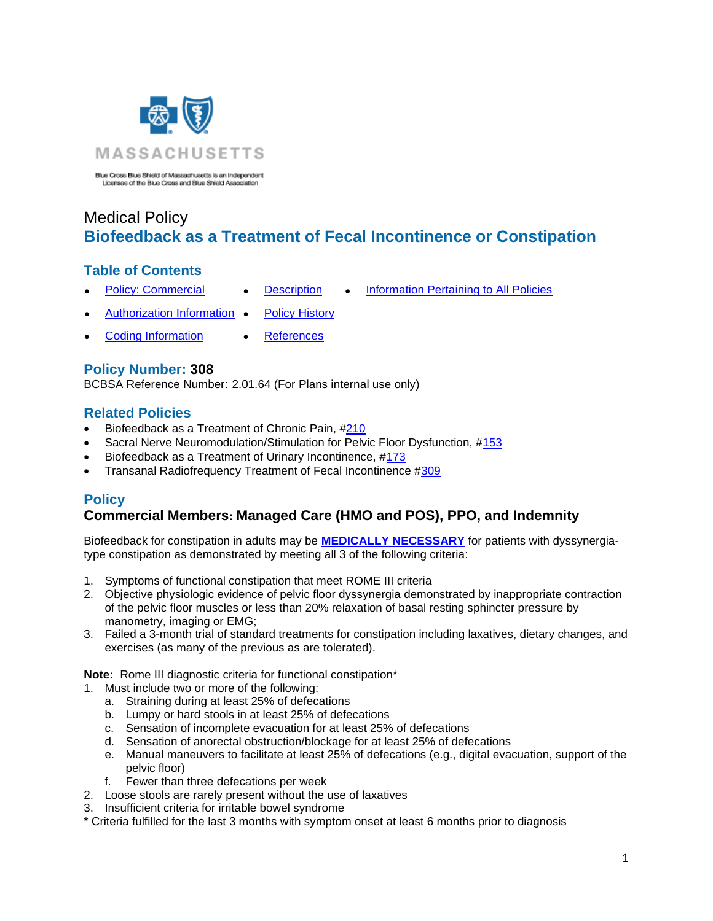

Blue Cross Blue Shield of Massachusetts is an Independent Licensee of the Blue Cross and Blue Shield Association

# Medical Policy **Biofeedback as a Treatment of Fecal Incontinence or Constipation**

### **Table of Contents**

- 
- **[Policy: Commercial](#page-3-0) [Description](#page-2-0) [Information Pertaining to All Policies](#page-4-0)**
- [Authorization Information](#page-1-0) [Policy History](#page-3-0)
	-
- - [Coding Information](#page-1-1) [References](#page-4-1)

# **Policy Number: 308**

BCBSA Reference Number: 2.01.64 (For Plans internal use only)

# **Related Policies**

- Biofeedback as a Treatment of Chronic Pain, [#210](http://www.bluecrossma.org/medical-policies/sites/g/files/csphws2091/files/acquiadam-assets/210%20Biofeedback%20as%20a%20Treatment%20of%20Chronic%20Pain%20prn.pdf#page=1)
- Sacral Nerve Neuromodulation/Stimulation for Pelvic Floor Dysfunction, [#153](https://www.bluecrossma.org/medical-policies/sites/g/files/csphws2091/files/acquiadam-assets/153%20Sacral%20Nerve%20Neuromodulation-Stimulation%20prn.pdf)
- Biofeedback as a Treatment of Urinary Incontinence, [#173](http://www.bluecrossma.org/medical-policies/sites/g/files/csphws2091/files/acquiadam-assets/173%20Biofeedback%20as%20a%20Treatment%20of%20Urinary%20Incontinence%20prn.pdf#page=1)
- Transanal Radiofrequency Treatment of Fecal Incontinence [#309](https://www.bluecrossma.org/medical-policies/sites/g/files/csphws2091/files/acquiadam-assets/309%20Transanal%20Radiofrequency%20Treatment%20of%20Fecal%20Incontinence%20prn.pdf)

# **Policy**

# **Commercial Members: Managed Care (HMO and POS), PPO, and Indemnity**

Biofeedback for constipation in adults may be **[MEDICALLY NECESSARY](https://www.bluecrossma.org/medical-policies/sites/g/files/csphws2091/files/acquiadam-assets/Definition%20of%20Med%20Nec%20Inv%20Not%20Med%20Nec%20prn.pdf#page=1)** for patients with dyssynergiatype constipation as demonstrated by meeting all 3 of the following criteria:

- 1. Symptoms of functional constipation that meet ROME III criteria
- 2. Objective physiologic evidence of pelvic floor dyssynergia demonstrated by inappropriate contraction of the pelvic floor muscles or less than 20% relaxation of basal resting sphincter pressure by manometry, imaging or EMG;
- 3. Failed a 3-month trial of standard treatments for constipation including laxatives, dietary changes, and exercises (as many of the previous as are tolerated).

**Note:** Rome III diagnostic criteria for functional constipation\*

- 1. Must include two or more of the following:
	- a. Straining during at least 25% of defecations
	- b. Lumpy or hard stools in at least 25% of defecations
	- c. Sensation of incomplete evacuation for at least 25% of defecations
	- d. Sensation of anorectal obstruction/blockage for at least 25% of defecations
	- e. Manual maneuvers to facilitate at least 25% of defecations (e.g., digital evacuation, support of the pelvic floor)
	- f. Fewer than three defecations per week
- 2. Loose stools are rarely present without the use of laxatives
- 3. Insufficient criteria for irritable bowel syndrome

\* Criteria fulfilled for the last 3 months with symptom onset at least 6 months prior to diagnosis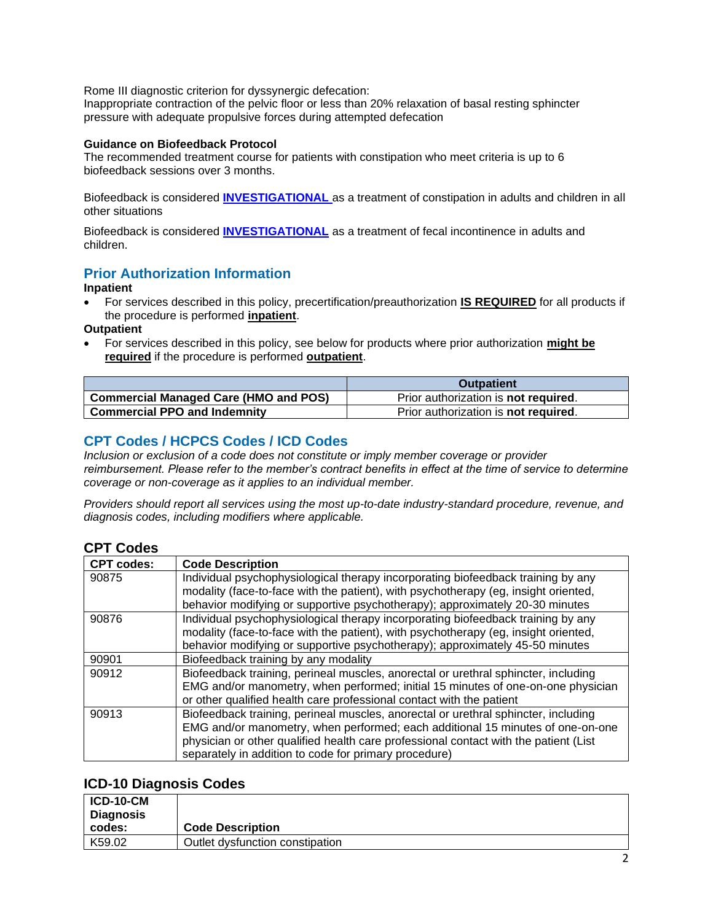Rome III diagnostic criterion for dyssynergic defecation:

Inappropriate contraction of the pelvic floor or less than 20% relaxation of basal resting sphincter pressure with adequate propulsive forces during attempted defecation

### **Guidance on Biofeedback Protocol**

The recommended treatment course for patients with constipation who meet criteria is up to 6 biofeedback sessions over 3 months.

Biofeedback is considered **[INVESTIGATIONAL](https://www.bluecrossma.org/medical-policies/sites/g/files/csphws2091/files/acquiadam-assets/Definition%20of%20Med%20Nec%20Inv%20Not%20Med%20Nec%20prn.pdf#page=1)** as a treatment of constipation in adults and children in all other situations

Biofeedback is considered **[INVESTIGATIONAL](https://www.bluecrossma.org/medical-policies/sites/g/files/csphws2091/files/acquiadam-assets/Definition%20of%20Med%20Nec%20Inv%20Not%20Med%20Nec%20prn.pdf#page=1)** as a treatment of fecal incontinence in adults and children.

# <span id="page-1-0"></span>**Prior Authorization Information**

#### **Inpatient**

• For services described in this policy, precertification/preauthorization **IS REQUIRED** for all products if the procedure is performed **inpatient**.

**Outpatient**

• For services described in this policy, see below for products where prior authorization **might be required** if the procedure is performed **outpatient**.

|                                              | <b>Outpatient</b>                            |
|----------------------------------------------|----------------------------------------------|
| <b>Commercial Managed Care (HMO and POS)</b> | Prior authorization is <b>not required</b> . |
| <b>Commercial PPO and Indemnity</b>          | Prior authorization is not required.         |

### <span id="page-1-1"></span>**CPT Codes / HCPCS Codes / ICD Codes**

*Inclusion or exclusion of a code does not constitute or imply member coverage or provider reimbursement. Please refer to the member's contract benefits in effect at the time of service to determine coverage or non-coverage as it applies to an individual member.* 

*Providers should report all services using the most up-to-date industry-standard procedure, revenue, and diagnosis codes, including modifiers where applicable.*

### **CPT Codes**

| <b>CPT codes:</b> | <b>Code Description</b>                                                              |
|-------------------|--------------------------------------------------------------------------------------|
| 90875             | Individual psychophysiological therapy incorporating biofeedback training by any     |
|                   | modality (face-to-face with the patient), with psychotherapy (eg, insight oriented,  |
|                   | behavior modifying or supportive psychotherapy); approximately 20-30 minutes         |
| 90876             | Individual psychophysiological therapy incorporating biofeedback training by any     |
|                   | modality (face-to-face with the patient), with psychotherapy (eg, insight oriented,  |
|                   | behavior modifying or supportive psychotherapy); approximately 45-50 minutes         |
| 90901             | Biofeedback training by any modality                                                 |
| 90912             | Biofeedback training, perineal muscles, anorectal or urethral sphincter, including   |
|                   | EMG and/or manometry, when performed; initial 15 minutes of one-on-one physician     |
|                   | or other qualified health care professional contact with the patient                 |
| 90913             | Biofeedback training, perineal muscles, anorectal or urethral sphincter, including   |
|                   | EMG and/or manometry, when performed; each additional 15 minutes of one-on-one       |
|                   | physician or other qualified health care professional contact with the patient (List |
|                   | separately in addition to code for primary procedure)                                |

### **ICD-10 Diagnosis Codes**

| $ICD-10-CM$ |                                 |
|-------------|---------------------------------|
| Diagnosis   |                                 |
| codes:      | <b>Code Description</b>         |
| K59.02      | Outlet dysfunction constipation |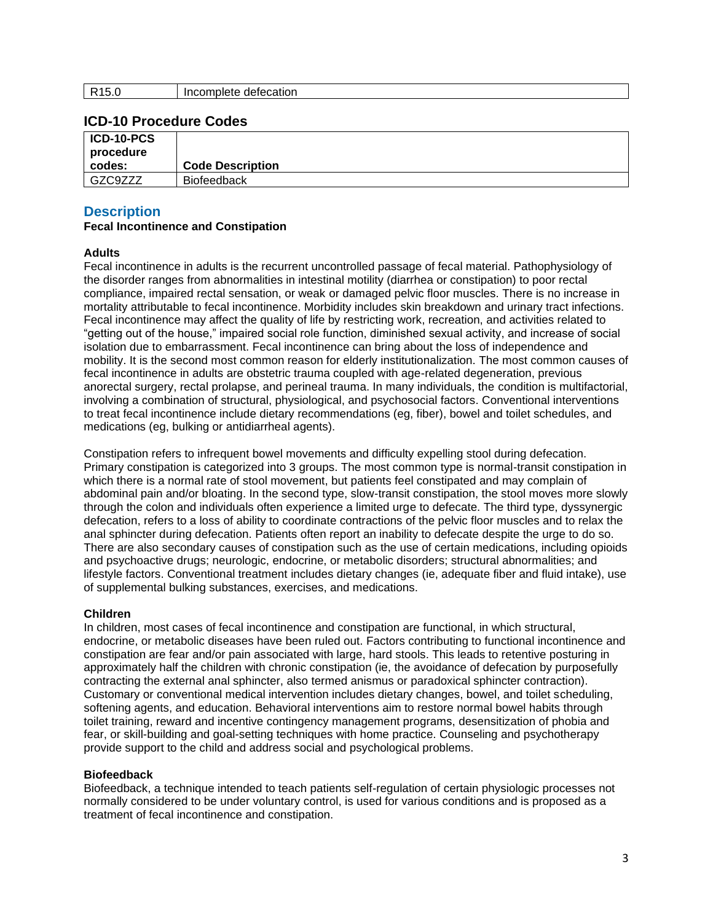### **ICD-10 Procedure Codes**

| ICD-10-PCS<br>procedure |                         |
|-------------------------|-------------------------|
| codes:                  | <b>Code Description</b> |
| GZC9ZZZ                 | <b>Biofeedback</b>      |

### <span id="page-2-0"></span>**Description**

### **Fecal Incontinence and Constipation**

#### **Adults**

Fecal incontinence in adults is the recurrent uncontrolled passage of fecal material. Pathophysiology of the disorder ranges from abnormalities in intestinal motility (diarrhea or constipation) to poor rectal compliance, impaired rectal sensation, or weak or damaged pelvic floor muscles. There is no increase in mortality attributable to fecal incontinence. Morbidity includes skin breakdown and urinary tract infections. Fecal incontinence may affect the quality of life by restricting work, recreation, and activities related to "getting out of the house," impaired social role function, diminished sexual activity, and increase of social isolation due to embarrassment. Fecal incontinence can bring about the loss of independence and mobility. It is the second most common reason for elderly institutionalization. The most common causes of fecal incontinence in adults are obstetric trauma coupled with age-related degeneration, previous anorectal surgery, rectal prolapse, and perineal trauma. In many individuals, the condition is multifactorial, involving a combination of structural, physiological, and psychosocial factors. Conventional interventions to treat fecal incontinence include dietary recommendations (eg, fiber), bowel and toilet schedules, and medications (eg, bulking or antidiarrheal agents).

Constipation refers to infrequent bowel movements and difficulty expelling stool during defecation. Primary constipation is categorized into 3 groups. The most common type is normal-transit constipation in which there is a normal rate of stool movement, but patients feel constipated and may complain of abdominal pain and/or bloating. In the second type, slow-transit constipation, the stool moves more slowly through the colon and individuals often experience a limited urge to defecate. The third type, dyssynergic defecation, refers to a loss of ability to coordinate contractions of the pelvic floor muscles and to relax the anal sphincter during defecation. Patients often report an inability to defecate despite the urge to do so. There are also secondary causes of constipation such as the use of certain medications, including opioids and psychoactive drugs; neurologic, endocrine, or metabolic disorders; structural abnormalities; and lifestyle factors. Conventional treatment includes dietary changes (ie, adequate fiber and fluid intake), use of supplemental bulking substances, exercises, and medications.

#### **Children**

In children, most cases of fecal incontinence and constipation are functional, in which structural, endocrine, or metabolic diseases have been ruled out. Factors contributing to functional incontinence and constipation are fear and/or pain associated with large, hard stools. This leads to retentive posturing in approximately half the children with chronic constipation (ie, the avoidance of defecation by purposefully contracting the external anal sphincter, also termed anismus or paradoxical sphincter contraction). Customary or conventional medical intervention includes dietary changes, bowel, and toilet scheduling, softening agents, and education. Behavioral interventions aim to restore normal bowel habits through toilet training, reward and incentive contingency management programs, desensitization of phobia and fear, or skill-building and goal-setting techniques with home practice. Counseling and psychotherapy provide support to the child and address social and psychological problems.

#### **Biofeedback**

Biofeedback, a technique intended to teach patients self-regulation of certain physiologic processes not normally considered to be under voluntary control, is used for various conditions and is proposed as a treatment of fecal incontinence and constipation.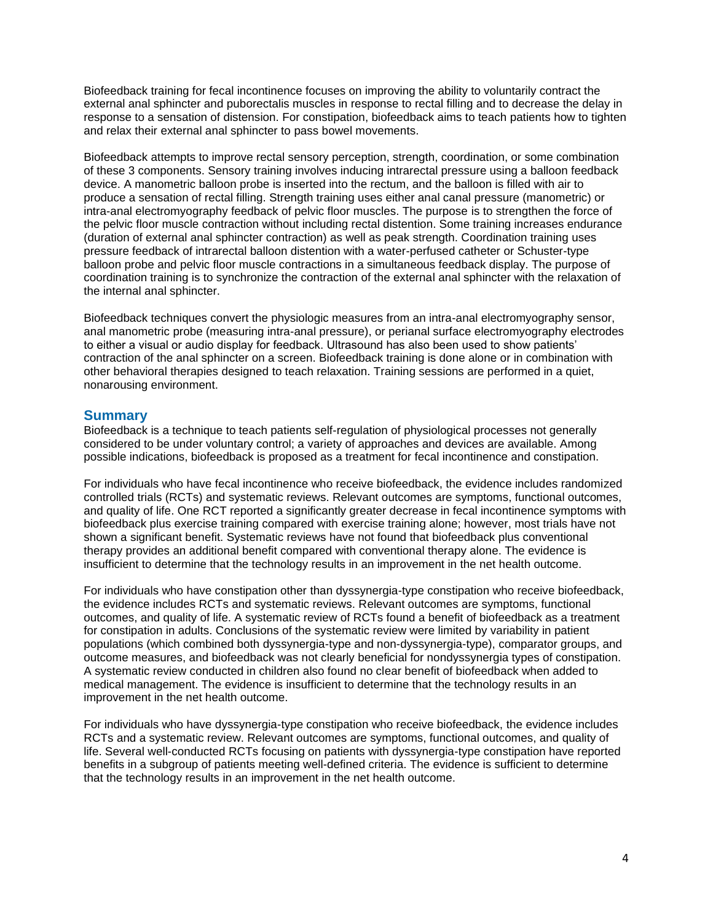Biofeedback training for fecal incontinence focuses on improving the ability to voluntarily contract the external anal sphincter and puborectalis muscles in response to rectal filling and to decrease the delay in response to a sensation of distension. For constipation, biofeedback aims to teach patients how to tighten and relax their external anal sphincter to pass bowel movements.

Biofeedback attempts to improve rectal sensory perception, strength, coordination, or some combination of these 3 components. Sensory training involves inducing intrarectal pressure using a balloon feedback device. A manometric balloon probe is inserted into the rectum, and the balloon is filled with air to produce a sensation of rectal filling. Strength training uses either anal canal pressure (manometric) or intra-anal electromyography feedback of pelvic floor muscles. The purpose is to strengthen the force of the pelvic floor muscle contraction without including rectal distention. Some training increases endurance (duration of external anal sphincter contraction) as well as peak strength. Coordination training uses pressure feedback of intrarectal balloon distention with a water-perfused catheter or Schuster-type balloon probe and pelvic floor muscle contractions in a simultaneous feedback display. The purpose of coordination training is to synchronize the contraction of the external anal sphincter with the relaxation of the internal anal sphincter.

Biofeedback techniques convert the physiologic measures from an intra-anal electromyography sensor, anal manometric probe (measuring intra-anal pressure), or perianal surface electromyography electrodes to either a visual or audio display for feedback. Ultrasound has also been used to show patients' contraction of the anal sphincter on a screen. Biofeedback training is done alone or in combination with other behavioral therapies designed to teach relaxation. Training sessions are performed in a quiet, nonarousing environment.

### **Summary**

Biofeedback is a technique to teach patients self-regulation of physiological processes not generally considered to be under voluntary control; a variety of approaches and devices are available. Among possible indications, biofeedback is proposed as a treatment for fecal incontinence and constipation.

For individuals who have fecal incontinence who receive biofeedback, the evidence includes randomized controlled trials (RCTs) and systematic reviews. Relevant outcomes are symptoms, functional outcomes, and quality of life. One RCT reported a significantly greater decrease in fecal incontinence symptoms with biofeedback plus exercise training compared with exercise training alone; however, most trials have not shown a significant benefit. Systematic reviews have not found that biofeedback plus conventional therapy provides an additional benefit compared with conventional therapy alone. The evidence is insufficient to determine that the technology results in an improvement in the net health outcome.

For individuals who have constipation other than dyssynergia-type constipation who receive biofeedback, the evidence includes RCTs and systematic reviews. Relevant outcomes are symptoms, functional outcomes, and quality of life. A systematic review of RCTs found a benefit of biofeedback as a treatment for constipation in adults. Conclusions of the systematic review were limited by variability in patient populations (which combined both dyssynergia-type and non-dyssynergia-type), comparator groups, and outcome measures, and biofeedback was not clearly beneficial for nondyssynergia types of constipation. A systematic review conducted in children also found no clear benefit of biofeedback when added to medical management. The evidence is insufficient to determine that the technology results in an improvement in the net health outcome.

<span id="page-3-0"></span>For individuals who have dyssynergia-type constipation who receive biofeedback, the evidence includes RCTs and a systematic review. Relevant outcomes are symptoms, functional outcomes, and quality of life. Several well-conducted RCTs focusing on patients with dyssynergia-type constipation have reported benefits in a subgroup of patients meeting well-defined criteria. The evidence is sufficient to determine that the technology results in an improvement in the net health outcome.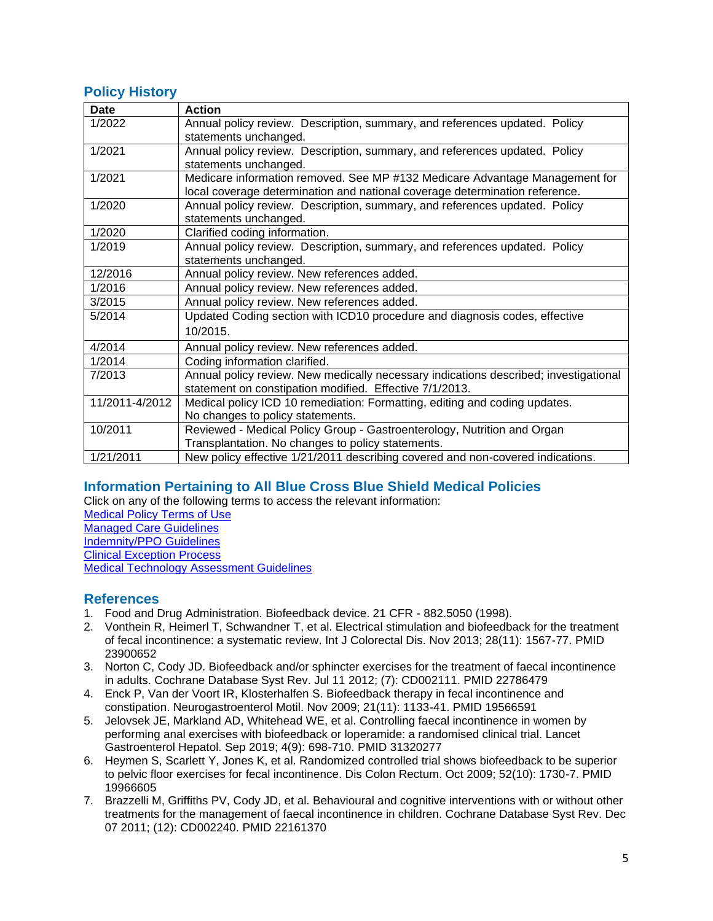# **Policy History**

| <b>Date</b>    | <b>Action</b>                                                                        |
|----------------|--------------------------------------------------------------------------------------|
| 1/2022         | Annual policy review. Description, summary, and references updated. Policy           |
|                | statements unchanged.                                                                |
| 1/2021         | Annual policy review. Description, summary, and references updated. Policy           |
|                | statements unchanged.                                                                |
| 1/2021         | Medicare information removed. See MP #132 Medicare Advantage Management for          |
|                | local coverage determination and national coverage determination reference.          |
| 1/2020         | Annual policy review. Description, summary, and references updated. Policy           |
|                | statements unchanged.                                                                |
| 1/2020         | Clarified coding information.                                                        |
| 1/2019         | Annual policy review. Description, summary, and references updated. Policy           |
|                | statements unchanged.                                                                |
| 12/2016        | Annual policy review. New references added.                                          |
| 1/2016         | Annual policy review. New references added.                                          |
| 3/2015         | Annual policy review. New references added.                                          |
| 5/2014         | Updated Coding section with ICD10 procedure and diagnosis codes, effective           |
|                | 10/2015                                                                              |
| 4/2014         | Annual policy review. New references added.                                          |
| 1/2014         | Coding information clarified.                                                        |
| 7/2013         | Annual policy review. New medically necessary indications described; investigational |
|                | statement on constipation modified. Effective 7/1/2013.                              |
| 11/2011-4/2012 | Medical policy ICD 10 remediation: Formatting, editing and coding updates.           |
|                | No changes to policy statements.                                                     |
| 10/2011        | Reviewed - Medical Policy Group - Gastroenterology, Nutrition and Organ              |
|                | Transplantation. No changes to policy statements.                                    |
| 1/21/2011      | New policy effective 1/21/2011 describing covered and non-covered indications.       |

# <span id="page-4-0"></span>**Information Pertaining to All Blue Cross Blue Shield Medical Policies**

Click on any of the following terms to access the relevant information:

[Medical Policy Terms of Use](http://www.bluecrossma.org/medical-policies/sites/g/files/csphws2091/files/acquiadam-assets/Medical_Policy_Terms_of_Use_prn.pdf) [Managed Care Guidelines](http://www.bluecrossma.org/medical-policies/sites/g/files/csphws2091/files/acquiadam-assets/Managed_Care_Guidelines_prn.pdf) [Indemnity/PPO Guidelines](http://www.bluecrossma.org/medical-policies/sites/g/files/csphws2091/files/acquiadam-assets/Indemnity_and_PPO_Guidelines_prn.pdf) [Clinical Exception Process](http://www.bluecrossma.org/medical-policies/sites/g/files/csphws2091/files/acquiadam-assets/Clinical_Exception_Process_prn.pdf) [Medical Technology Assessment Guidelines](http://www.bluecrossma.org/medical-policies/sites/g/files/csphws2091/files/acquiadam-assets/Medical_Technology_Assessment_Guidelines_prn.pdf)

<span id="page-4-1"></span>**References**

- 1. Food and Drug Administration. Biofeedback device. 21 CFR 882.5050 (1998).
- 2. Vonthein R, Heimerl T, Schwandner T, et al. Electrical stimulation and biofeedback for the treatment of fecal incontinence: a systematic review. Int J Colorectal Dis. Nov 2013; 28(11): 1567-77. PMID 23900652
- 3. Norton C, Cody JD. Biofeedback and/or sphincter exercises for the treatment of faecal incontinence in adults. Cochrane Database Syst Rev. Jul 11 2012; (7): CD002111. PMID 22786479
- 4. Enck P, Van der Voort IR, Klosterhalfen S. Biofeedback therapy in fecal incontinence and constipation. Neurogastroenterol Motil. Nov 2009; 21(11): 1133-41. PMID 19566591
- 5. Jelovsek JE, Markland AD, Whitehead WE, et al. Controlling faecal incontinence in women by performing anal exercises with biofeedback or loperamide: a randomised clinical trial. Lancet Gastroenterol Hepatol. Sep 2019; 4(9): 698-710. PMID 31320277
- 6. Heymen S, Scarlett Y, Jones K, et al. Randomized controlled trial shows biofeedback to be superior to pelvic floor exercises for fecal incontinence. Dis Colon Rectum. Oct 2009; 52(10): 1730-7. PMID 19966605
- 7. Brazzelli M, Griffiths PV, Cody JD, et al. Behavioural and cognitive interventions with or without other treatments for the management of faecal incontinence in children. Cochrane Database Syst Rev. Dec 07 2011; (12): CD002240. PMID 22161370